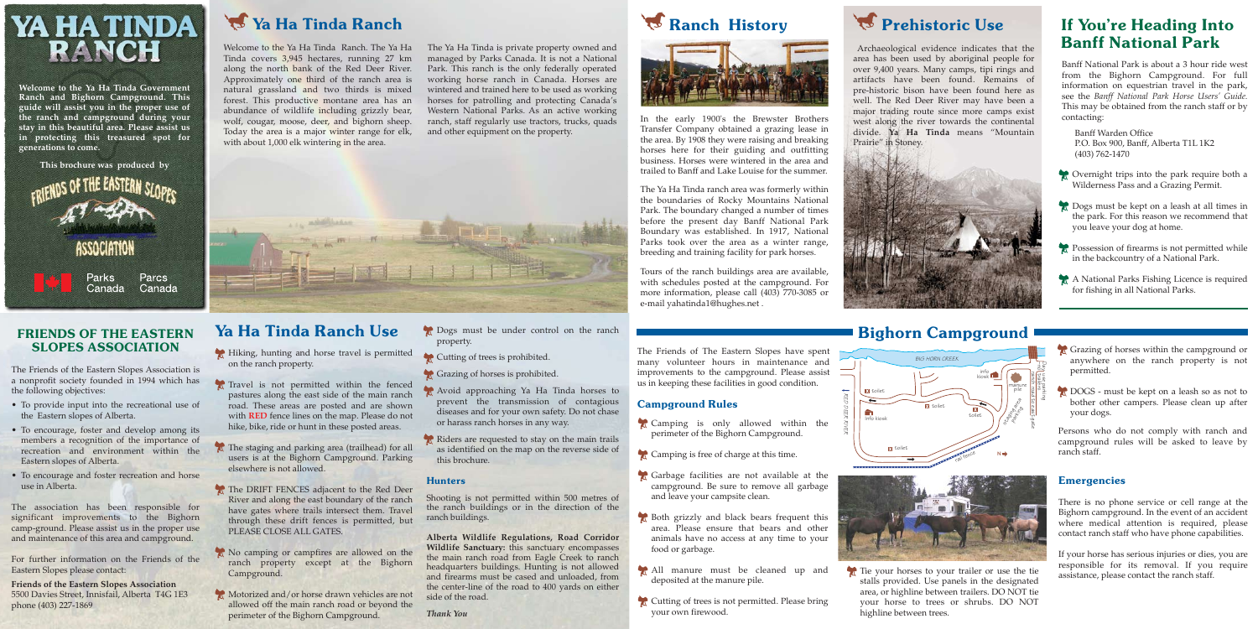Welcome to the Ya Ha Tinda Ranch. The Ya Ha Tinda covers 3,945 hectares, running 27 km along the north bank of the Red Deer River. Approximately one third of the ranch area is natural grassland and two thirds is mixed forest. This productive montane area has an abundance of wildlife including grizzly bear, wolf, cougar, moose, deer, and bighorn sheep. Today the area is a major winter range for elk, with about 1,000 elk wintering in the area.

The Ya Ha Tinda is private property owned and managed by Parks Canada. It is not a National Park. This ranch is the only federally operated working horse ranch in Canada. Horses are wintered and trained here to be used as working horses for patrolling and protecting Canada's Western National Parks. As an active working ranch, staff regularly use tractors, trucks, quads and other equipment on the property.







In the early 1900's the Brewster Brothers Transfer Company obtained a grazing lease in the area. By 1908 they were raising and breaking horses here for their guiding and outfitting business. Horses were wintered in the area and trailed to Banff and Lake Louise for the summer.

- Hiking, hunting and horse travel is permitted on the ranch property.
- Travel is not permitted within the fenced pastures along the east side of the main ranch road. These areas are posted and are shown with **RED** fence lines on the map. Please do not hike, bike, ride or hunt in these posted areas.
- The staging and parking area (trailhead) for all users is at the Bighorn Campground. Parking elsewhere is not allowed.
- The DRIFT FENCES adjacent to the Red Deer River and along the east boundary of the ranch have gates where trails intersect them. Travel through these drift fences is permitted, but PLEASE CLOSE ALL GATES.
- No camping or campfires are allowed on the ranch property except at the Bighorn Campground.
- Motorized and/or horse drawn vehicles are not allowed off the main ranch road or beyond the perimeter of the Bighorn Campground.

The Ya Ha Tinda ranch area was formerly within the boundaries of Rocky Mountains National Park. The boundary changed a number of times before the present day Banff National Park Boundary was established. In 1917, National Parks took over the area as a winter range, breeding and training facility for park horses.

- **Dogs** must be under control on the ranch property.
- Cutting of trees is prohibited.
- Grazing of horses is prohibited.
- Avoid approaching Ya Ha Tinda horses to prevent the transmission of contagious diseases and for your own safety. Do not chase or harass ranch horses in any way.
- Riders are requested to stay on the main trails as identified on the map on the reverse side of this brochure.

#### **Hunters**

Tours of the ranch buildings area are available, with schedules posted at the campground. For more information, please call (403) 770-3085 or e-mail yahatinda1@hughes.net .

Camping is only allowed within the perimeter of the Bighorn Campground.

Camping is free of charge at this time.

Garbage facilities are not available at the campground. Be sure to remove all garbage

Both grizzly and black bears frequent this area. Please ensure that bears and other animals have no access at any time to your

All manure must be cleaned up and

Cutting of trees is not permitted. Please bring

Tie your horses to your trailer or use the tie stalls provided. Use panels in the designated area, or highline between trailers. DO NOT tie your horse to trees or shrubs. DO NOT highline between trees.

- Grazing of horses within the campground or anywhere on the ranch property is not permitted.
- **DOGS** must be kept on a leash so as not to bother other campers. Please clean up after your dogs.

### If You're Heading Into Banff National Park



**Welcome to the Ya Ha Tinda Government Ranch and Bighorn Campground. This guide will assist you in the proper use of the ranch and campground during your stay in this beautiful area. Please assist us in protecting this treasured spot for generations to come.**



# FRIENDS OF THE EASTERN SLOPES ASSOCIATION

The Friends of the Eastern Slopes Association is a nonprofit society founded in 1994 which has the following objectives:

- Overnight trips into the park require both a Wilderness Pass and a Grazing Permit.
- Dogs must be kept on a leash at all times in the park. For this reason we recommend that you leave your dog at home.
- Possession of firearms is not permitted while in the backcountry of a National Park.
- A National Parks Fishing Licence is required for fishing in all National Parks.

- To provide input into the recreational use of the Eastern slopes of Alberta.
- To encourage, foster and develop among its members a recognition of the importance of recreation and environment within the Eastern slopes of Alberta.
- To encourage and foster recreation and horse use in Alberta.

The association has been responsible for significant improvements to the Bighorn camp-ground. Please assist us in the proper use and maintenance of this area and campground.

For further information on the Friends of the Eastern Slopes please contact:

**Friends of the Eastern Slopes Association** 5500 Davies Street, Innisfail, Alberta T4G 1E3 phone (403) 227-1869

# Ya Ha Tinda Ranch

 Archaeological evidence indicates that the area has been used by aboriginal people for over 9,400 years. Many camps, tipi rings and artifacts have been found. Remains of pre-historic bison have been found here as well. The Red Deer River may have been a major trading route since more camps exist west along the river towards the continental divide. **Ya Ha Tinda** means "Mountain Prairie" in Stoney.



## Bighorn Campground

### Emergencies

There is no phone service or cell range at the Bighorn campground. In the event of an accident where medical attention is required, please contact ranch staff who have phone capabilities.

If your horse has serious injuries or dies, you are responsible for its removal. If you require assistance, please contact the ranch staff.

## Ya Ha Tinda Ranch Use

- 
- 
- and leave your campsite clean.
- food or garbage.
- deposited at the manure pile.
- your own firewood.

Prehistoric Use

Banff National Park is about a 3 hour ride west from the Bighorn Campground. For full information on equestrian travel in the park, see the *Banff National Park Horse Users' Guide.* This may be obtained from the ranch staff or by contacting:

 Banff Warden Office P.O. Box 900, Banff, Alberta T1L 1K2 (403) 762-1470

Persons who do not comply with ranch and campground rules will be asked to leave by ranch staff.





Shooting is not permitted within 500 metres of the ranch buildings or in the direction of the ranch buildings.

**Alberta Wildlife Regulations, Road Corridor Wildlife Sanctuary:** this sanctuary encompasses the main ranch road from Eagle Creek to ranch headquarters buildings. Hunting is not allowed and firearms must be cased and unloaded, from the center-line of the road to 400 yards on either side of the road.

*Thank You*

The Friends of The Eastern Slopes have spent many volunteer hours in maintenance and improvements to the campground. Please assist us in keeping these facilities in good condition.

### Campground Rules